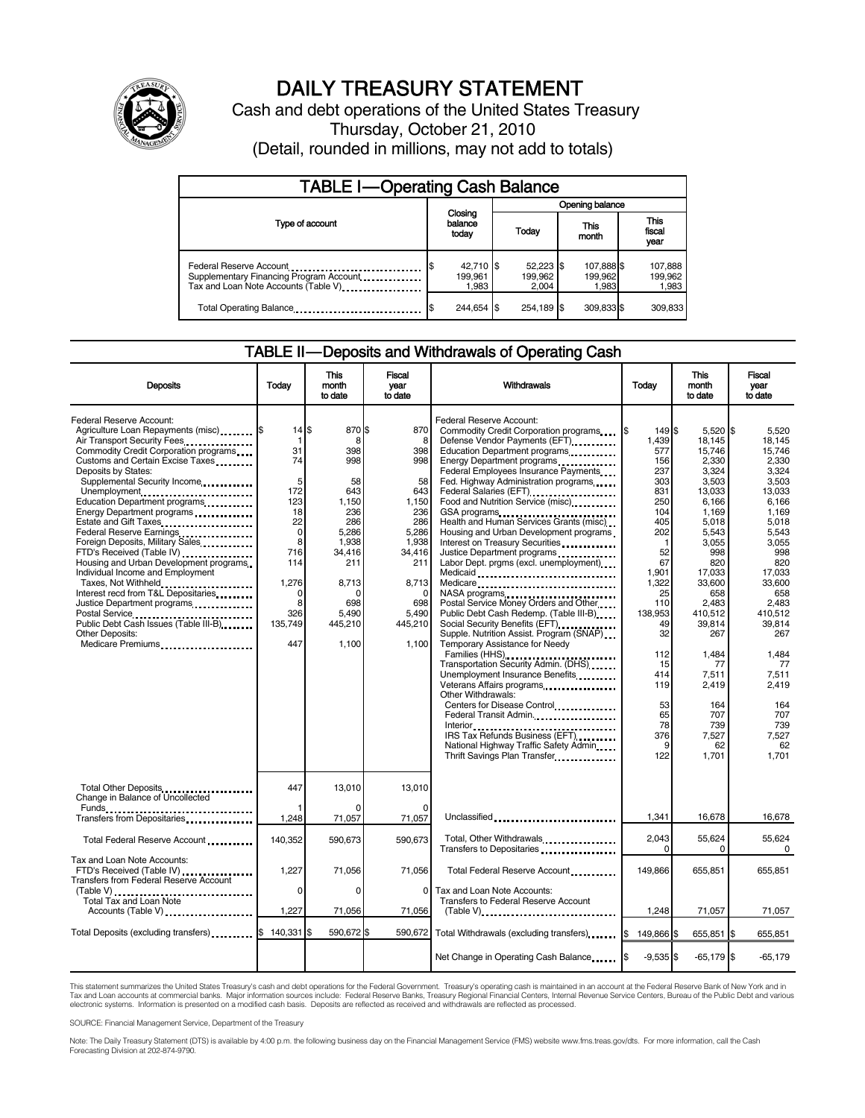

# DAILY TREASURY STATEMENT

Cash and debt operations of the United States Treasury Thursday, October 21, 2010 (Detail, rounded in millions, may not add to totals)

| <b>TABLE I-Operating Cash Balance</b>                                                                      |                               |                               |                                |                             |  |  |  |
|------------------------------------------------------------------------------------------------------------|-------------------------------|-------------------------------|--------------------------------|-----------------------------|--|--|--|
|                                                                                                            |                               | Opening balance               |                                |                             |  |  |  |
| Type of account                                                                                            | Closing<br>balance<br>today   | Today                         | This<br>month                  | This<br>fiscal<br>year      |  |  |  |
| Federal Reserve Account<br>Supplementary Financing Program Account<br>Tax and Loan Note Accounts (Table V) | 42,710 \$<br>199.961<br>1.983 | 52,223 \$<br>199.962<br>2.004 | 107,888 \$<br>199,962<br>1,983 | 107,888<br>199,962<br>1,983 |  |  |  |
| Total Operating Balance                                                                                    | 244.654 \$                    | 254.189 \$                    | 309.833 \$                     | 309.833                     |  |  |  |

## TABLE II — Deposits and Withdrawals of Operating Cash

| <b>Deposits</b>                                                                                                                                                                                                                                                                                                                                                                                                                                                                                                                                                                                                                                                                                                                    | Todav                                                                                                                                                | This<br>month<br>to date                                                                                                                      | Fiscal<br>year<br>to date                                                                                                                              | Withdrawals                                                                                                                                                                                                                                                                                                                                                                                                                                                                                                                                                                                                                                                                                                                                                                                                                                                                                                                                                                                                                                                                                                                 | Todav                                                                                                                                                                                                                  | <b>This</b><br>month<br>to date                                                                                                                                                                                                                                              | Fiscal<br>vear<br>to date                                                                                                                                                                                                                                               |
|------------------------------------------------------------------------------------------------------------------------------------------------------------------------------------------------------------------------------------------------------------------------------------------------------------------------------------------------------------------------------------------------------------------------------------------------------------------------------------------------------------------------------------------------------------------------------------------------------------------------------------------------------------------------------------------------------------------------------------|------------------------------------------------------------------------------------------------------------------------------------------------------|-----------------------------------------------------------------------------------------------------------------------------------------------|--------------------------------------------------------------------------------------------------------------------------------------------------------|-----------------------------------------------------------------------------------------------------------------------------------------------------------------------------------------------------------------------------------------------------------------------------------------------------------------------------------------------------------------------------------------------------------------------------------------------------------------------------------------------------------------------------------------------------------------------------------------------------------------------------------------------------------------------------------------------------------------------------------------------------------------------------------------------------------------------------------------------------------------------------------------------------------------------------------------------------------------------------------------------------------------------------------------------------------------------------------------------------------------------------|------------------------------------------------------------------------------------------------------------------------------------------------------------------------------------------------------------------------|------------------------------------------------------------------------------------------------------------------------------------------------------------------------------------------------------------------------------------------------------------------------------|-------------------------------------------------------------------------------------------------------------------------------------------------------------------------------------------------------------------------------------------------------------------------|
| Federal Reserve Account:<br>Agriculture Loan Repayments (misc) \$<br>Air Transport Security Fees<br>Commodity Credit Corporation programs<br>Customs and Certain Excise Taxes<br>Deposits by States:<br>Supplemental Security Income<br>Unemployment<br>Education Department programs<br>Energy Department programs<br>Estate and Gift Taxes<br>Federal Reserve Earnings<br>Foreign Deposits, Military Sales<br>FTD's Received (Table IV)<br>Housing and Urban Development programs<br>Individual Income and Employment<br>Taxes, Not Withheld<br>Interest recd from T&L Depositaries<br>Justice Department programs<br><br>Postal Service<br>Public Debt Cash Issues (Table III-B)<br><b>Other Deposits:</b><br>Medicare Premiums | $14$ $\bar{\text{s}}$<br>-1<br>31<br>74<br>5<br>172<br>123<br>18<br>22<br>$\mathbf 0$<br>8<br>716<br>114<br>1,276<br>O<br>8<br>326<br>135,749<br>447 | 870 \$<br>8<br>398<br>998<br>58<br>643<br>1,150<br>236<br>286<br>5,286<br>1,938<br>34,416<br>211<br>8,713<br>698<br>5.490<br>445,210<br>1,100 | 870<br>8<br>398<br>998<br>58<br>643<br>1,150<br>236<br>286<br>5,286<br>1,938<br>34,416<br>211<br>8,713<br>$\Omega$<br>698<br>5,490<br>445,210<br>1,100 | Federal Reserve Account:<br>Commodity Credit Corporation programs<br>Defense Vendor Payments (EFT)<br>Education Department programs<br>Energy Department programs<br>Federal Employees Insurance Payments<br>Fed. Highway Administration programs<br>Federal Salaries (EFT)<br>Federal Salaries (EFT)<br>Food and Nutrition Service (misc)<br>Health and Human Services Grants (misc)<br>Housing and Urban Development programs<br>Interest on Treasury Securities<br>Justice Department programs<br>Labor Dept. prgms (excl. unemployment)<br>Medicaid<br>Medicare<br>NASA programs<br>Postal Service Money Orders and Other<br>Public Debt Cash Redemp. (Table III-B)<br>Social Security Benefits (EFT)<br>Supple. Nutrition Assist. Program (SNAP)<br>Temporary Assistance for Needy<br>Families (HHS)<br>Transportation Security Admin. (DHS)<br>Unemployment Insurance Benefits<br>Veterans Affairs programs<br><br>Other Withdrawals:<br>Centers for Disease Control<br>Federal Transit Admin,<br>Interior<br>IRS Tax Refunds Business (EFT)<br>National Highway Traffic Safety Admin<br>Thrift Savings Plan Transfer | 149 \$<br>1.439<br>577<br>156<br>237<br>303<br>831<br>250<br>104<br>405<br>202<br>-1<br>52<br>67<br>1,901<br>1.322<br>25<br>110<br>138,953<br>49<br>32<br>112<br>15<br>414<br>119<br>53<br>65<br>78<br>376<br>9<br>122 | $5,520$ \$<br>18.145<br>15,746<br>2,330<br>3,324<br>3.503<br>13,033<br>6,166<br>1,169<br>5,018<br>5,543<br>3,055<br>998<br>820<br>17,033<br>33,600<br>658<br>2,483<br>410,512<br>39,814<br>267<br>1,484<br>77<br>7,511<br>2,419<br>164<br>707<br>739<br>7,527<br>62<br>1,701 | 5.520<br>18.145<br>15,746<br>2,330<br>3,324<br>3.503<br>13,033<br>6,166<br>1.169<br>5,018<br>5,543<br>3,055<br>998<br>820<br>17,033<br>33.600<br>658<br>2,483<br>410,512<br>39.814<br>267<br>1,484<br>77<br>7,511<br>2,419<br>164<br>707<br>739<br>7,527<br>62<br>1,701 |
| Total Other Deposits<br>Change in Balance of Uncollected                                                                                                                                                                                                                                                                                                                                                                                                                                                                                                                                                                                                                                                                           | 447                                                                                                                                                  | 13.010                                                                                                                                        | 13.010<br>O                                                                                                                                            |                                                                                                                                                                                                                                                                                                                                                                                                                                                                                                                                                                                                                                                                                                                                                                                                                                                                                                                                                                                                                                                                                                                             |                                                                                                                                                                                                                        |                                                                                                                                                                                                                                                                              |                                                                                                                                                                                                                                                                         |
| Funds<br>Transfers from Depositaries                                                                                                                                                                                                                                                                                                                                                                                                                                                                                                                                                                                                                                                                                               | 1,248                                                                                                                                                | 71,057                                                                                                                                        | 71,057                                                                                                                                                 | Unclassified                                                                                                                                                                                                                                                                                                                                                                                                                                                                                                                                                                                                                                                                                                                                                                                                                                                                                                                                                                                                                                                                                                                | 1.341                                                                                                                                                                                                                  | 16.678                                                                                                                                                                                                                                                                       | 16,678                                                                                                                                                                                                                                                                  |
| Total Federal Reserve Account                                                                                                                                                                                                                                                                                                                                                                                                                                                                                                                                                                                                                                                                                                      | 140,352                                                                                                                                              | 590,673                                                                                                                                       | 590,673                                                                                                                                                | Total, Other Withdrawals<br>Transfers to Depositaries                                                                                                                                                                                                                                                                                                                                                                                                                                                                                                                                                                                                                                                                                                                                                                                                                                                                                                                                                                                                                                                                       | 2,043<br>$\Omega$                                                                                                                                                                                                      | 55,624<br>0                                                                                                                                                                                                                                                                  | 55,624<br>$\Omega$                                                                                                                                                                                                                                                      |
| Tax and Loan Note Accounts:<br>FTD's Received (Table IV)<br>Transfers from Federal Reserve Account                                                                                                                                                                                                                                                                                                                                                                                                                                                                                                                                                                                                                                 | 1,227                                                                                                                                                | 71,056                                                                                                                                        | 71,056                                                                                                                                                 | Total Federal Reserve Account                                                                                                                                                                                                                                                                                                                                                                                                                                                                                                                                                                                                                                                                                                                                                                                                                                                                                                                                                                                                                                                                                               | 149.866                                                                                                                                                                                                                | 655,851                                                                                                                                                                                                                                                                      | 655,851                                                                                                                                                                                                                                                                 |
| (Table V)<br>Total Tax and Loan Note<br>Accounts (Table V)                                                                                                                                                                                                                                                                                                                                                                                                                                                                                                                                                                                                                                                                         | $\Omega$<br>1,227                                                                                                                                    | $\Omega$<br>71,056                                                                                                                            | 0<br>71,056                                                                                                                                            | Tax and Loan Note Accounts:<br>Transfers to Federal Reserve Account<br>$(Table V)$                                                                                                                                                                                                                                                                                                                                                                                                                                                                                                                                                                                                                                                                                                                                                                                                                                                                                                                                                                                                                                          | 1,248                                                                                                                                                                                                                  | 71,057                                                                                                                                                                                                                                                                       | 71,057                                                                                                                                                                                                                                                                  |
| Total Deposits (excluding transfers)                                                                                                                                                                                                                                                                                                                                                                                                                                                                                                                                                                                                                                                                                               | 140,331                                                                                                                                              | 590,672 \$                                                                                                                                    | 590,672                                                                                                                                                | Total Withdrawals (excluding transfers)                                                                                                                                                                                                                                                                                                                                                                                                                                                                                                                                                                                                                                                                                                                                                                                                                                                                                                                                                                                                                                                                                     | 149,866 \$<br>l\$                                                                                                                                                                                                      | 655,851 \$                                                                                                                                                                                                                                                                   | 655,851                                                                                                                                                                                                                                                                 |
|                                                                                                                                                                                                                                                                                                                                                                                                                                                                                                                                                                                                                                                                                                                                    |                                                                                                                                                      |                                                                                                                                               |                                                                                                                                                        | Net Change in Operating Cash Balance                                                                                                                                                                                                                                                                                                                                                                                                                                                                                                                                                                                                                                                                                                                                                                                                                                                                                                                                                                                                                                                                                        | $-9.535$ \$                                                                                                                                                                                                            | $-65,179$ \$                                                                                                                                                                                                                                                                 | $-65,179$                                                                                                                                                                                                                                                               |

This statement summarizes the United States Treasury's cash and debt operations for the Federal Government. Treasury's operating cash is maintained in an account at the Federal Reserve Bank of New York and in<br>Tax and Loan electronic systems. Information is presented on a modified cash basis. Deposits are reflected as received and withdrawals are reflected as processed.

SOURCE: Financial Management Service, Department of the Treasury

Note: The Daily Treasury Statement (DTS) is available by 4:00 p.m. the following business day on the Financial Management Service (FMS) website www.fms.treas.gov/dts. For more information, call the Cash Forecasting Division at 202-874-9790.